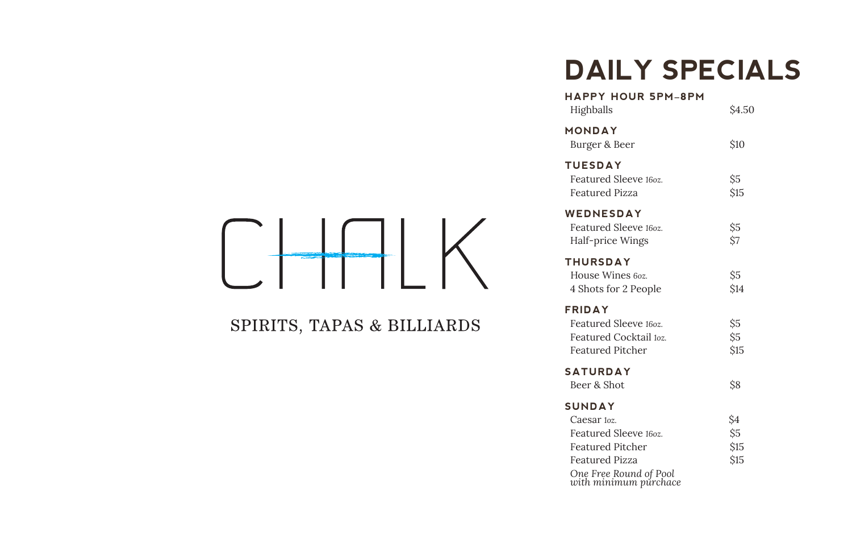### **DAILY SPECIALS**

| <b>HAPPY HOUR 5PM-8PM</b><br>Highballs                                                      | <b>S4.50</b>           |
|---------------------------------------------------------------------------------------------|------------------------|
| MONDAY<br>Burger & Beer                                                                     | <b>S10</b>             |
| <b>TUESDAY</b><br>Featured Sleeve 160z.<br><b>Featured Pizza</b>                            | \$5<br><b>S15</b>      |
| WEDNESDAY<br>Featured Sleeve 160z.<br>Half-price Wings                                      | Ŝ5<br>Ŝ7               |
| <b>THURSDAY</b><br>House Wines 60z.<br>4 Shots for 2 People                                 | Ŝ5<br><b>S14</b>       |
| <b>FRIDAY</b><br>Featured Sleeve 160z.<br>Featured Cocktail toz.<br><b>Featured Pitcher</b> | Ŝ5<br>Ś5<br><b>S15</b> |
| <b>SATURDAY</b><br>Beer & Shot                                                              | Ś8                     |
| <b>SUNDAY</b>                                                                               |                        |
| Caesar <sub>loz.</sub>                                                                      | Ŝ4                     |
| Featured Sleeve 160z.                                                                       | Ŝ5                     |
| <b>Featured Pitcher</b>                                                                     | <b>\$15</b>            |
| <b>Featured Pizza</b>                                                                       | \$15                   |
| One Free Round of Pool<br>with minimum purchace                                             |                        |

 $\Box$ 

### SPIRITS, TAPAS & BILLIARDS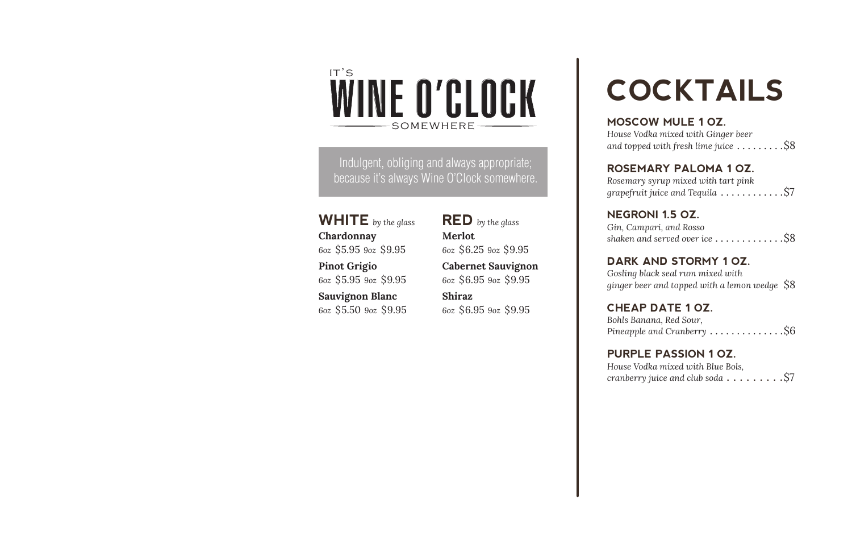# WINE O'CLOCK it's

Indulgent, obliging and always appropriate; because it's always Wine O'Clock somewhere.

**WHITE** *by the glass* **Chardonnay** *6oz* 5.95 *9oz* \$9.95 \$ \$ **Pinot Grigio** *6oz* \$5.95 *9oz* \$9.95 **Sauvignon Blanc**

*6oz* \$5.50 *9oz* \$9.95

**RED** *by the glass* **Merlot** *6oz*  $$6.25$   $9$ oz  $$9.95$ 

**Cabernet Sauvignon** *6oz* \$6.95 *9oz* \$9.95

**Shiraz** *6oz* \$6.95 *9oz* \$9.95

# **COCKTAILS**

somewhere **MOSCOW MULE 1 OZ.** *House Vodka mixed with Ginger beer and topped with fresh lime juice* ........ .\$8

**ROSEMARY PALOMA 1 OZ.** *Rosemary syrup mixed with tart pink grapefruit juice and Tequila* ............... \$7

**NEGRONI 1.5 OZ.** *Gin, Campari, and Rosso shaken and served over ice* ............ .\$8

**DARK AND STORMY 1 OZ.** *Gosling black seal rum mixed with ginger beer and topped with a lemon wedge*  \$8

**CHEAP DATE 1 OZ.** *Bohls Banana, Red Sour, Pineapple and Cranberry* ............. .\$6

**PURPLE PASSION 1 OZ.** *House Vodka mixed with Blue Bols, cranberry juice and club soda* **. . . . . . . . .**\$7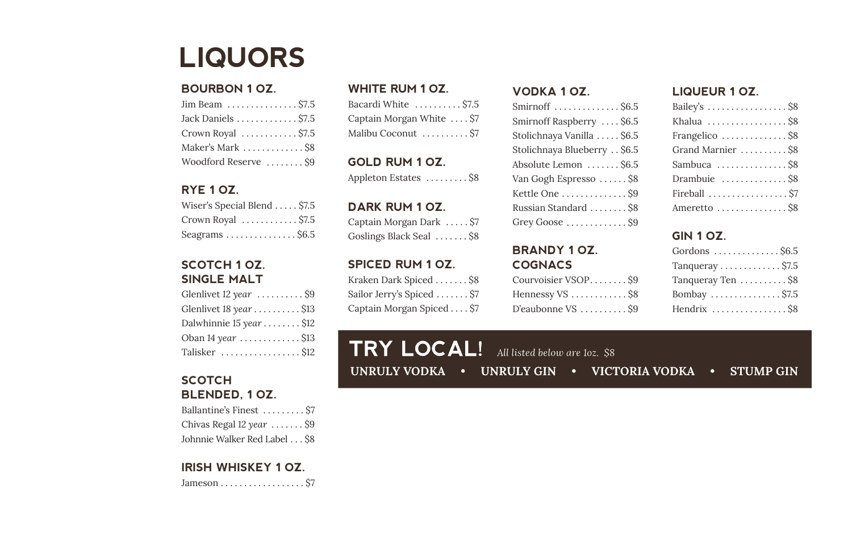### **LIQUORS**

### **BOURBON 1 OZ.**

| Jack Daniels  \$7.5                   |
|---------------------------------------|
| Crown Royal $\dots \dots \dots$ \$7.5 |
| Maker's Mark  \$8                     |
| Woodford Reserve  \$9                 |

### **RYE 1 OZ.**

| Wiser's Special Blend \$7.5                  |  |
|----------------------------------------------|--|
| Crown Royal $\dots \dots \dots$ \$7.5        |  |
| Seagrams $\ldots \ldots \ldots \ldots$ \$6.5 |  |

### **SCOTCH 1 OZ. SINGLE MALT**

| Glenlivet $12$ year $\dots\dots\dots$ \$9 |
|-------------------------------------------|
| Glenlivet 18 year \$13                    |
| Dalwhinnie 15 year \$12                   |
| Oban 14 year  \$13                        |
| Talisker \$12                             |

### **SCOTCH BLENDED, 1 OZ.**

Ballantine's Finest ......... \$7 Chivas Regal *12 year* ...... . \$9 Johnnie Walker Red Label . . . \$8

### **IRISH WHISKEY 1 OZ.**

Jameson ................. . \$7

### **WHITE RUM 1 OZ.**

| Bacardi White  \$7.5      |  |
|---------------------------|--|
| Captain Morgan White  \$7 |  |
| Malibu Coconut  \$7       |  |

**GOLD RUM 1 OZ.** Appleton Estates ......... \$8

**DARK RUM 1 OZ.** Captain Morgan Dark .... . \$7 Goslings Black Seal ...... . \$8

### **SPICED RUM 1 OZ.**

Kraken Dark Spiced ...... . \$8 Sailor Jerry's Spiced ...... . \$7 Captain Morgan Spiced ... . \$7

### **VODKA 1 OZ.**

| Smirnoff  \$6.5                            |
|--------------------------------------------|
| Smirnoff Raspberry  \$6.5                  |
| Stolichnaya Vanilla  \$6.5                 |
| Stolichnaya Blueberry \$6.5                |
| Absolute Lemon  \$6.5                      |
| Van Gogh Espresso  \$8                     |
| Kettle One  \$9                            |
| Russian Standard  \$8                      |
| Grey Goose $\dots \dots \dots \dots$ . \$9 |
|                                            |

### **BRANDY 1 OZ. COGNACS**

| Courvoisier VSOPS9  |  |
|---------------------|--|
| Hennessy $VS$ \$8   |  |
| D'eaubonne $VS$ \$9 |  |

### **LIQUEUR 1 OZ.**

| Bailey's \$8                               |
|--------------------------------------------|
| Khalua \$8                                 |
| Frangelico $\dots\dots\dots\dots\dots$ \$8 |
| Grand Marnier \$8                          |
| Sambuca  \$8                               |
| Drambuie \$8                               |
| Fireball  \$7                              |
| Ameretto $\dots\dots\dots\dots\dots$ \$8   |

### **GIN 1 OZ.**

| Gordons $\dots \dots \dots \dots$ . \$6.5 |
|-------------------------------------------|
| Tangueray $\dots\dots\dots\dots$ \$7.5    |
| Tanqueray Ten \$8                         |
| Bombay \$7.5                              |
| Hendrix \$8                               |

| $TRY$ LOCAL! All listed below are loz. \$8 |  |                                                       |  |
|--------------------------------------------|--|-------------------------------------------------------|--|
|                                            |  | UNRULY VODKA • UNRULY GIN • VICTORIA VODKA • STUMP GI |  |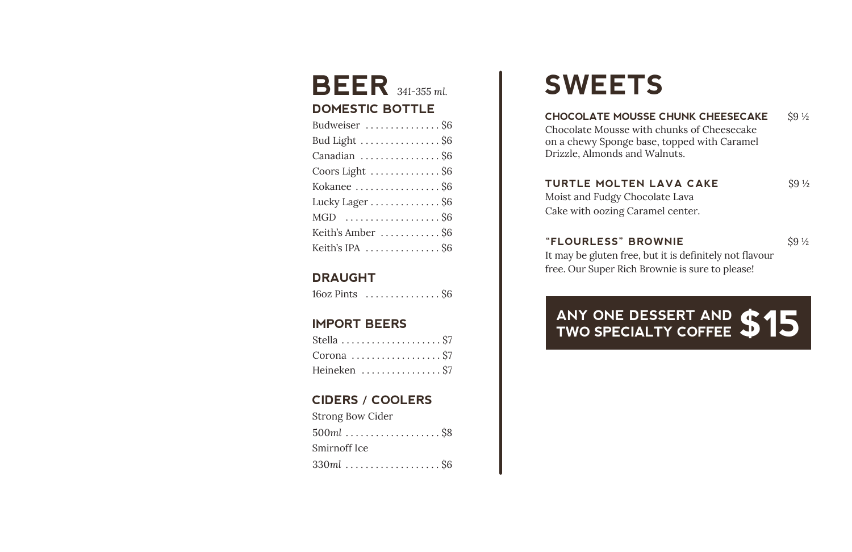### Keith's IPA **"FLOURLESS" BROWNIE** \$9 <sup>½</sup> .............. . \$6 **BEER** *341-355 ml.* **DOMESTIC BOTTLE** Budweiser ............... \$6 Bud Light ............... . \$6 Canadian ............... . \$6 Coors Light ............. . \$6 Kokanee ................ . \$6 Lucky Lager . . . . . . . . . . . . . \$6 MGD .................. . \$6 Keith's Amber ........... . \$6

### **DRAUGHT**

16oz Pints .............. . \$6

### **IMPORT BEERS**

| Stella  \$7   |  |  |  |  |  |  |  |  |  |
|---------------|--|--|--|--|--|--|--|--|--|
|               |  |  |  |  |  |  |  |  |  |
| Heineken  \$7 |  |  |  |  |  |  |  |  |  |

### **CIDERS / COOLERS**

| Strong Bow Cider |
|------------------|
| $500ml$ \$8      |
| Smirnoff Ice     |
| $330ml$ \$6      |

# **SWEETS**

### **CHOCOLATE MOUSSE CHUNK CHEESECAKE** \$9 1/2

Chocolate Mousse with chunks of Cheesecake on a chewy Sponge base, topped with Caramel Drizzle, Almonds and Walnuts.

### **TURTLE MOLTEN LAVA CAKE** \$9 1/2

Moist and Fudgy Chocolate Lava Cake with oozing Caramel center.

It may be gluten free, but it is definitely not flavour free. Our Super Rich Brownie is sure to please!

# **ANY ONE DESSERT AND TWO SPECIALTY COFFEE \$15**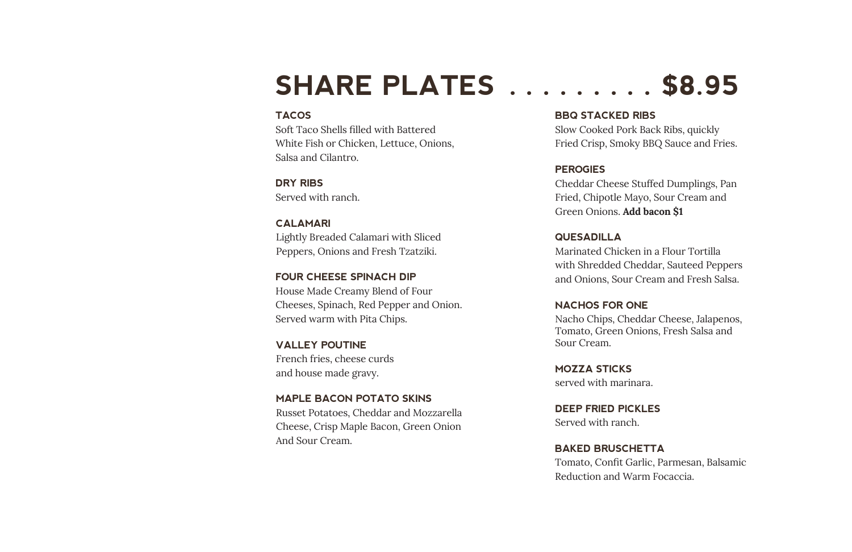### **SHARE PLATES . . . . . . . . . \$8.95**

### **TACOS**

Soft Taco Shells filled with Battered White Fish or Chicken, Lettuce, Onions, Salsa and Cilantro.

 **DRY RIBS** Served with ranch.

**CALAMARI** Lightly Breaded Calamari with Sliced Peppers, Onions and Fresh Tzatziki.

**FOUR CHEESE SPINACH DIP** House Made Creamy Blend of Four Cheeses, Spinach, Red Pepper and Onion. Served warm with Pita Chips.

**VALLEY POUTINE**  French fries, cheese curds and house made gravy. **MOZZA STICKS**

**MAPLE BACON POTATO SKINS** Russet Potatoes, Cheddar and Mozzarella Cheese, Crisp Maple Bacon, Green Onion And Sour Cream.

 **BBQ STACKED RIBS** Slow Cooked Pork Back Ribs, quickly Fried Crisp, Smoky BBQ Sauce and Fries.

### **PEROGIES**

Cheddar Cheese Stuffed Dumplings, Pan Fried, Chipotle Mayo, Sour Cream and Green Onions. **Add bacon \$1**

### **QUESADILLA**

Marinated Chicken in a Flour Tortilla with Shredded Cheddar, Sauteed Peppers and Onions, Sour Cream and Fresh Salsa.

### **NACHOS FOR ONE**

Nacho Chips, Cheddar Cheese, Jalapenos, Tomato, Green Onions, Fresh Salsa and Sour Cream.

served with marinara.

**DEEP FRIED PICKLES** Served with ranch.

**BAKED BRUSCHETTA** Tomato, Confit Garlic, Parmesan, Balsamic Reduction and Warm Focaccia.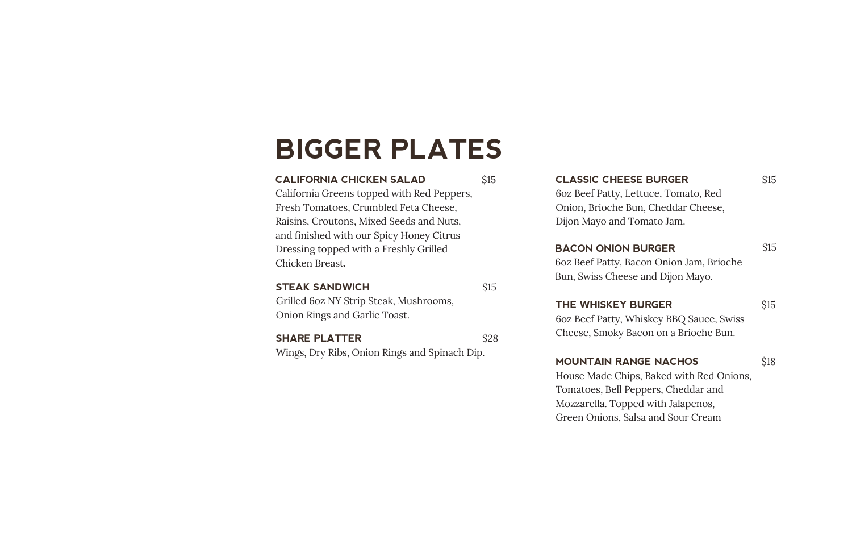## **BIGGER PLATES**

#### l **CALIFORNIA CHICKEN SALAD**

\$15

California Greens topped with Red Peppers, Fresh Tomatoes, Crumbled Feta Cheese, Raisins, Croutons, Mixed Seeds and Nuts, and finished with our Spicy Honey Citrus Dressing topped with a Freshly Grilled Chicken Breast.

### **STEAK SANDWICH**

\$15

\$28

Grilled 6oz NY Strip Steak, Mushrooms, Onion Rings and Garlic Toast.

**SHARE PLATTER** Wings, Dry Ribs, Onion Rings and Spinach Dip. **CLASSIC CHEESE BURGER**

6oz Beef Patty, Lettuce, Tomato, Red Onion, Brioche Bun, Cheddar Cheese, Dijon Mayo and Tomato Jam.

### **BACON ONION BURGER**

6oz Beef Patty, Bacon Onion Jam, Brioche Bun, Swiss Cheese and Dijon Mayo.

### **THE WHISKEY BURGER**

\$15

\$18

\$15

\$15

6oz Beef Patty, Whiskey BBQ Sauce, Swiss Cheese, Smoky Bacon on a Brioche Bun.

### **MOUNTAIN RANGE NACHOS**

House Made Chips, Baked with Red Onions, Tomatoes, Bell Peppers, Cheddar and Mozzarella. Topped with Jalapenos, Green Onions, Salsa and Sour Cream